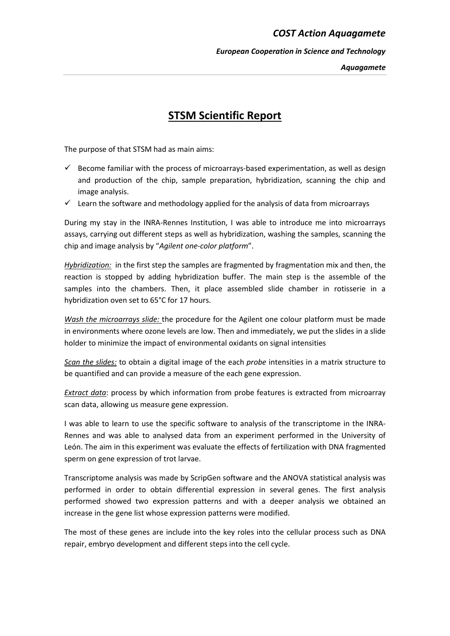## *COST Action Aquagamete*

*European Cooperation in Science and Technology*

## **STSM Scientific Report**

The purpose of that STSM had as main aims:

- $\checkmark$  Become familiar with the process of microarrays-based experimentation, as well as design and production of the chip, sample preparation, hybridization, scanning the chip and image analysis.
- $\checkmark$  Learn the software and methodology applied for the analysis of data from microarrays

During my stay in the INRA-Rennes Institution, I was able to introduce me into microarrays assays, carrying out different steps as well as hybridization, washing the samples, scanning the chip and image analysis by "*Agilent one-color platform*".

*Hybridization:* in the first step the samples are fragmented by fragmentation mix and then, the reaction is stopped by adding hybridization buffer. The main step is the assemble of the samples into the chambers. Then, it place assembled slide chamber in rotisserie in a hybridization oven set to 65°C for 17 hours.

*Wash the microarrays slide:* the procedure for the Agilent one colour platform must be made in environments where ozone levels are low. Then and immediately, we put the slides in a slide holder to minimize the impact of environmental oxidants on signal intensities

*Scan the slides:* to obtain a digital image of the each *probe* intensities in a matrix structure to be quantified and can provide a measure of the each gene expression.

*Extract data*: process by which information from probe features is extracted from microarray scan data, allowing us measure gene expression.

I was able to learn to use the specific software to analysis of the transcriptome in the INRA-Rennes and was able to analysed data from an experiment performed in the University of León. The aim in this experiment was evaluate the effects of fertilization with DNA fragmented sperm on gene expression of trot larvae.

Transcriptome analysis was made by ScripGen software and the ANOVA statistical analysis was performed in order to obtain differential expression in several genes. The first analysis performed showed two expression patterns and with a deeper analysis we obtained an increase in the gene list whose expression patterns were modified.

The most of these genes are include into the key roles into the cellular process such as DNA repair, embryo development and different steps into the cell cycle.